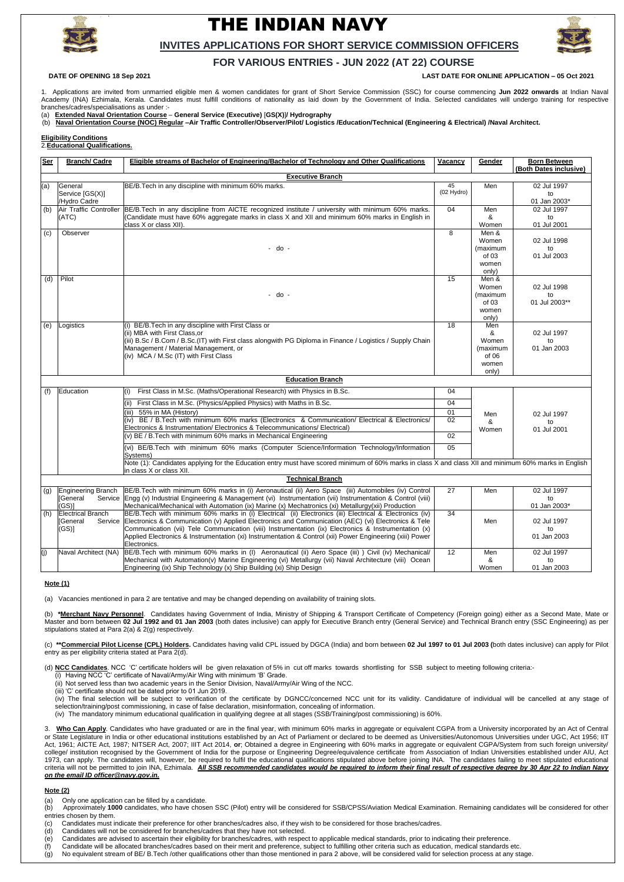.



# THE INDIAN NAVY



### **INVITES APPLICATIONS FOR SHORT SERVICE COMMISSION OFFICERS**

## **FOR VARIOUS ENTRIES - JUN 2022 (AT 22) COURSE**

**DATE OF OPENING 18 Sep 2021 LAST DATE FOR ONLINE APPLICATION – 05 Oct 2021**

1. Applications are invited from unmarried eligible men & women candidates for grant of Short Service Commission (SSC) for course commencing **Jun 2022 onwards** at Indian Naval Academy (INA) Ezhimala, Kerala. Candidates must fulfill conditions of nationality as laid down by the Government of India. Selected candidates will undergo training for respective branches/cadres/specialisations as under :-

(a) **Extended Naval Orientation Course** – **General Service (Executive)** [**GS(X)**]**/ Hydrography**

(b) **Naval Orientation Course (NOC) Regular –Air Traffic Controller/Observer/Pilot/ Logistics /Education/Technical (Engineering & Electrical) /Naval Architect.**

**Eligibility Conditions**

2.**Educational Qualifications.**

(b) \*Merchant Navy Personnel. Candidates having Government of India, Ministry of Shipping & Transport Certificate of Competency (Foreign going) either as a Second Mate, Mate or Master and born between **02 Jul 1992 and 01 Jan 2003** (both dates inclusive) can apply for Executive Branch entry (General Service) and Technical Branch entry (SSC Engineering) as per stipulations stated at Para 2(a) & 2(g) respectively.

(c) \*\* Commercial Pilot License (CPL) Holders. Candidates having valid CPL issued by DGCA (India) and born between 02 Jul 1997 to 01 Jul 2003 (both dates inclusive) can apply for Pilot entry as per eligibility criteria stated at Para 2(d).

| <b>Ser</b>              | <b>Branch/ Cadre</b>          | Eligible streams of Bachelor of Engineering/Bachelor of Technology and Other Qualifications                                                                                                                       | <b>Vacancy</b>     | Gender            | <b>Born Between</b>              |
|-------------------------|-------------------------------|-------------------------------------------------------------------------------------------------------------------------------------------------------------------------------------------------------------------|--------------------|-------------------|----------------------------------|
|                         |                               |                                                                                                                                                                                                                   |                    |                   | (Both Dates inclusive)           |
| <b>Executive Branch</b> |                               |                                                                                                                                                                                                                   |                    |                   |                                  |
| (a)                     | General<br>Service [GS(X)]    | BE/B. Tech in any discipline with minimum 60% marks.                                                                                                                                                              | 45<br>$(02$ Hydro) | Men               | 02 Jul 1997<br>to                |
|                         | /Hydro Cadre                  |                                                                                                                                                                                                                   |                    |                   | 01 Jan 2003*                     |
| (b)                     | <b>Air Traffic Controller</b> | BE/B.Tech in any discipline from AICTE recognized institute / university with minimum 60% marks.                                                                                                                  | 04                 | Men               | 02 Jul 1997                      |
|                         | (ATC)                         | (Candidate must have 60% aggregate marks in class X and XII and minimum 60% marks in English in                                                                                                                   |                    | &                 | to                               |
|                         |                               | class X or class XII).                                                                                                                                                                                            |                    | Women             | 01 Jul 2001                      |
| (c)                     | Observer                      | - do -                                                                                                                                                                                                            | 8                  | Men &             |                                  |
|                         |                               |                                                                                                                                                                                                                   |                    | Women<br>(maximum | 02 Jul 1998<br>to                |
|                         |                               |                                                                                                                                                                                                                   |                    | of 03             | 01 Jul 2003                      |
|                         |                               |                                                                                                                                                                                                                   |                    | women             |                                  |
|                         |                               |                                                                                                                                                                                                                   |                    | only)             |                                  |
| (d)                     | Pilot                         | - do -                                                                                                                                                                                                            | 15                 | Men &             |                                  |
|                         |                               |                                                                                                                                                                                                                   |                    | Women             | 02 Jul 1998                      |
|                         |                               |                                                                                                                                                                                                                   |                    | (maximum          | to                               |
|                         |                               |                                                                                                                                                                                                                   |                    | of 03             | 01 Jul 2003**                    |
|                         |                               |                                                                                                                                                                                                                   |                    | women<br>only)    |                                  |
| (e)                     | Logistics                     | BE/B. Tech in any discipline with First Class or                                                                                                                                                                  | 18                 | Men               | 02 Jul 1997<br>to<br>01 Jan 2003 |
|                         |                               | (ii) MBA with First Class, or                                                                                                                                                                                     |                    | &                 |                                  |
|                         |                               | (iii) B.Sc / B.Com / B.Sc. (IT) with First class alongwith PG Diploma in Finance / Logistics / Supply Chain<br>Management / Material Management, or<br>(iv) MCA / M.Sc (IT) with First Class                      |                    | Women             |                                  |
|                         |                               |                                                                                                                                                                                                                   |                    | (maximum          |                                  |
|                         |                               |                                                                                                                                                                                                                   |                    | of 06             |                                  |
|                         |                               |                                                                                                                                                                                                                   |                    | women             |                                  |
|                         |                               | <b>Education Branch</b>                                                                                                                                                                                           |                    | only)             |                                  |
|                         |                               |                                                                                                                                                                                                                   |                    |                   |                                  |
| (f)                     | Education                     | First Class in M.Sc. (Maths/Operational Research) with Physics in B.Sc.                                                                                                                                           | 04                 | Men<br>&<br>Women | 02 Jul 1997<br>to<br>01 Jul 2001 |
|                         |                               | First Class in M.Sc. (Physics/Applied Physics) with Maths in B.Sc.                                                                                                                                                | 04                 |                   |                                  |
|                         |                               | 55% in MA (History)<br>(iii)                                                                                                                                                                                      | 01                 |                   |                                  |
|                         |                               | (iv) BE / B.Tech with minimum 60% marks (Electronics & Communication/ Electrical & Electronics/                                                                                                                   | 02                 |                   |                                  |
|                         |                               | Electronics & Instrumentation/Electronics & Telecommunications/Electrical)                                                                                                                                        |                    |                   |                                  |
|                         |                               | $(v)$ BE / B. Tech with minimum 60% marks in Mechanical Engineering                                                                                                                                               | $\overline{02}$    |                   |                                  |
|                         |                               | (vi) BE/B.Tech with minimum 60% marks (Computer Science/Information Technology/Information<br>Systems)                                                                                                            | 05                 |                   |                                  |
|                         |                               | Note (1): Candidates applying for the Education entry must have scored minimum of 60% marks in class X and class XII and minimum 60% marks in English<br>in class X or class XII.                                 |                    |                   |                                  |
| <b>Technical Branch</b> |                               |                                                                                                                                                                                                                   |                    |                   |                                  |
|                         |                               | (g) Engineering Branch BE/B.Tech with minimum 60% marks in (i) Aeronautical (ii) Aero Space (iii) Automobiles (iv) Control                                                                                        | $\overline{27}$    | Men               | 02 Jul 1997                      |
|                         | [General                      | Service Engg (v) Industrial Engineering & Management (vi) Instrumentation (vii) Instrumentation & Control (viii)                                                                                                  |                    |                   | to                               |
|                         | $(GS)$ ]                      | Mechanical/Mechanical with Automation (ix) Marine (x) Mechatronics (xi) Metallurgy(xii) Production                                                                                                                |                    |                   | 01 Jan 2003*                     |
| (h)                     | <b>Electrical Branch</b>      | BE/B.Tech with minimum 60% marks in (i) Electrical (ii) Electronics (iii) Electrical & Electronics (iv)                                                                                                           | 34                 |                   |                                  |
|                         | [General                      | Service Electronics & Communication (v) Applied Electronics and Communication (AEC) (vi) Electronics & Tele                                                                                                       |                    | Men               | 02 Jul 1997                      |
|                         | (GS)                          | Communication (vii) Tele Communication (viii) Instrumentation (ix) Electronics & Instrumentation (x)<br>Applied Electronics & Instrumentation (xi) Instrumentation & Control (xii) Power Engineering (xiii) Power |                    |                   | to                               |
|                         |                               | Electronics.                                                                                                                                                                                                      |                    |                   | 01 Jan 2003                      |
| (j)                     | Naval Architect (NA)          | BE/B.Tech with minimum 60% marks in (I) Aeronautical (ii) Aero Space (iii) ) Civil (iv) Mechanical/                                                                                                               | 12                 | Men               | 02 Jul 1997                      |
|                         |                               | Mechanical with Automation(v) Marine Engineering (vi) Metallurgy (vii) Naval Architecture (viii) Ocean                                                                                                            |                    | &                 | to                               |
|                         |                               | Engineering (ix) Ship Technology (x) Ship Building (xi) Ship Design                                                                                                                                               |                    | Women             | 01 Jan 2003                      |

(iv) The final selection will be subject to verification of the certificate by DGNCC/concerned NCC unit for its validity. Candidature of individual will be cancelled at any stage of selection/training/post commissioning, in case of false declaration, misinformation, concealing of information.

3. Who Can Apply. Candidates who have graduated or are in the final year, with minimum 60% marks in aggregate or equivalent CGPA from a University incorporated by an Act of Central or State Legislature in India or other educational institutions established by an Act of Parliament or declared to be deemed as Universities/Autonomous Universities under UGC, Act 1956; IIT Act, 1961; AICTE Act, 1987; NITSER Act, 2007; IIIT Act 2014, or; Obtained a degree in Engineering with 60% marks in aggregate or equivalent CGPA/System from such foreign university/ college/ institution recognised by the Government of India for the purpose or Engineering Degree/equivalence certificate from Association of Indian Universities established under AIU, Act 1973, can apply. The candidates will, however, be required to fulfil the educational qualifications stipulated above before joining INA. The candidates failing to meet stipulated educational criteria will not be permitted to join INA, Ezhimala. *All SSB recommended candidates would be required to inform their final result of respective degree by 30 Apr 22 to Indian Navy on the email ID officer@navy.gov.in.*

**Note (1)**

(a) Vacancies mentioned in para 2 are tentative and may be changed depending on availability of training slots.

(d) **NCC Candidates**. NCC 'C' certificate holders will be given relaxation of 5% in cut off marks towards shortlisting for SSB subject to meeting following criteria:-

(i) Having NCC 'C' certificate of Naval/Army/Air Wing with minimum 'B' Grade.

(ii) Not served less than two academic years in the Senior Division, Naval/Army/Air Wing of the NCC.

(iii) 'C' certificate should not be dated prior to 01 Jun 2019.

(iv) The mandatory minimum educational qualification in qualifying degree at all stages (SSB/Training/post commissioning) is 60%.

#### **Note (2)**

(a) Only one application can be filled by a candidate.

(b) Approximately **1000** candidates, who have chosen SSC (Pilot) entry will be considered for SSB/CPSS/Aviation Medical Examination. Remaining candidates will be considered for other entries chosen by them.

- (c) Candidates must indicate their preference for other branches/cadres also, if they wish to be considered for those braches/cadres.
- (d) Candidates will not be considered for branches/cadres that they have not selected.
- (e) Candidates are advised to ascertain their eligibility for branches/cadres, with respect to applicable medical standards, prior to indicating their preference.
- (f) Candidate will be allocated branches/cadres based on their merit and preference, subject to fulfilling other criteria such as education, medical standards etc.
- (g) No equivalent stream of BE/ B.Tech /other qualifications other than those mentioned in para 2 above, will be considered valid for selection process at any stage.